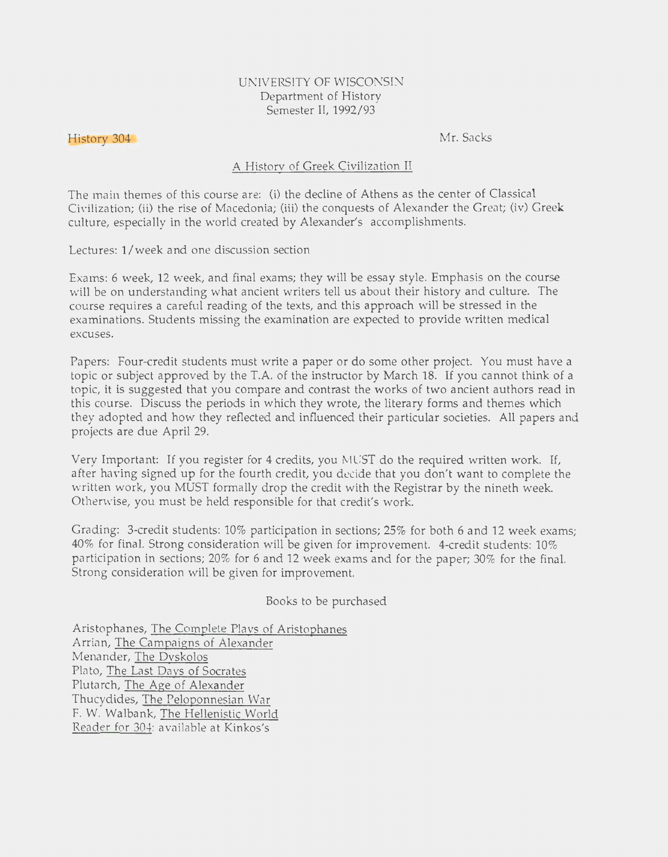## UNIVERSITY OF WISCONSIN Department of History Semester II, 1992/93

## History 304

Mr. Sacks

## A History of Greek Civilization II

The main themes of this course are: (i) the decline of Athens as the center of Classical Civilization; (ii) the rise of Macedonia; (iii) the conquests of Alexander the Great; (iv) Greek culture, especially in the world created by Alexander's accomplishments.

Lectures: 1/week and one discussion section

Exams: 6 week, 12 week, and final exams; they will be essay style. Emphasis on the course will be on understanding what ancient writers tell us about their history and culture. The course requires a careful reading of the texts, and this approach will be stressed in the examinations. Students missing the examination are expected to provide written medical excuses.

Papers: Four-credit students must write a paper or do some other project. You must have a topic or subject approved by the T.A. of the instructor by March 18. If you cannot think of a topic, it is suggested that you compare and contrast the works of two ancient authors read in this course. Discuss the periods in which they wrote, the literary forms and themes which they adopted and how they reflected and influenced their particular societies. All papers and projects are due April 29.

Very Important: If you register for 4 credits, you MUST do the required written work. If, after having signed up for the fourth credit, you decide that you don't want to complete the written work, you MUST formally drop the credit with the Registrar by the nineth week. Otherwise, you must be held responsible for that credit's work.

Grading: 3-credit students: 10% participation in sections; 25% for both 6 and 12 week exams; 40% for final. Strong consideration will be given for improvement. 4-credit students: 10% participation in sections; 20% for 6 and 12 week exams and for the paper; 30% for the final. Strong consideration will be given for improvement.

Books to be purchased

Aristophanes, The Complete Plavs of Aristophanes Arrian, The Campaigns of Alexander Menander, The Dvskolos Plato, The Last Davs of Socrates Plutarch, The Age of Alexander Thucydides, The Peloponnesian War F. W. Walbank, The Hellenistic World Reader for 304: available at Kinkos's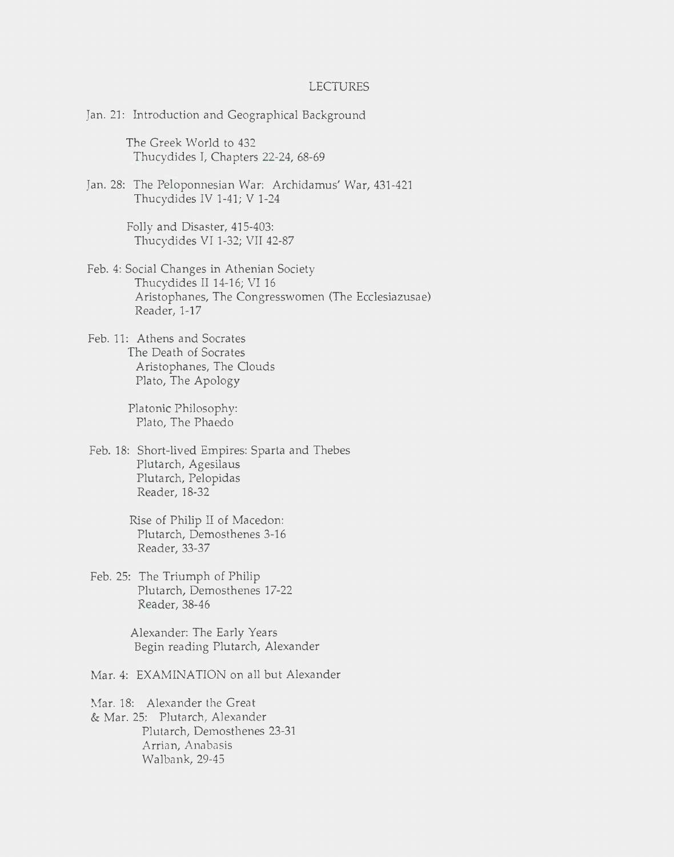## LECTURES

Jan. 21: Introduction and Geographical Background

The Greek World to 432 Thucydides I, Chapters 22-24, 68-69

Jan. 28: The Peloponnesian War: Archidamus' War, 431-421 Thucydides IV 1-41; V 1-24

> Folly and Disaster, 415-403: Thucydides VI 1-32; VII 42-87

- Feb. 4: Social Changes in Athenian Society Thucydides II 14-16; VI 16 Aristophanes, The Congresswomen (The Ecclesiazusae) Reader, 1-17
- Feb. 11: Athens and Socrates The Death of Socrates Aristophanes, The Clouds Plato, The Apology

Platonic Philosophy: Plato, The Phaedo

- Feb. 18: Short-lived Empires: Sparta and Thebes Plutarch, Agesilaus Plutarch, Pelopidas Reader, 18-32
	- Rise of Philip II of Macedon: Plutarch, Demosthenes 3-16 Reader, 33-37
- Feb. 25: The Triumph of Philip Plutarch, Demosthenes 17-22 Reader, 38-46

Alexander: The Early Years Begin reading Plutarch, Alexander

Mar. 4: EXAMINATION on all but Alexander

Mar. 18: Alexander the Great & Mar. 25: Plutarch, Alexander Plutarch, Demosthenes 23-31 Arrian, Anabasis Walbank, 29-45